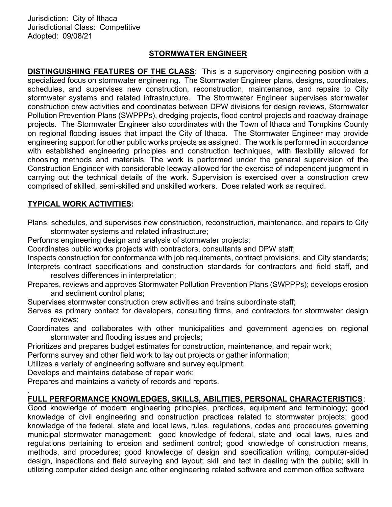Jurisdiction: City of Ithaca Jurisdictional Class: Competitive Adopted: 09/08/21

### STORMWATER ENGINEER

DISTINGUISHING FEATURES OF THE CLASS: This is a supervisory engineering position with a specialized focus on stormwater engineering. The Stormwater Engineer plans, designs, coordinates, schedules, and supervises new construction, reconstruction, maintenance, and repairs to City stormwater systems and related infrastructure. The Stormwater Engineer supervises stormwater construction crew activities and coordinates between DPW divisions for design reviews, Stormwater Pollution Prevention Plans (SWPPPs), dredging projects, flood control projects and roadway drainage projects. The Stormwater Engineer also coordinates with the Town of Ithaca and Tompkins County on regional flooding issues that impact the City of Ithaca. The Stormwater Engineer may provide engineering support for other public works projects as assigned. The work is performed in accordance with established engineering principles and construction techniques, with flexibility allowed for choosing methods and materials. The work is performed under the general supervision of the Construction Engineer with considerable leeway allowed for the exercise of independent judgment in carrying out the technical details of the work. Supervision is exercised over a construction crew comprised of skilled, semi-skilled and unskilled workers. Does related work as required.

#### TYPICAL WORK ACTIVITIES:

Plans, schedules, and supervises new construction, reconstruction, maintenance, and repairs to City stormwater systems and related infrastructure;

Performs engineering design and analysis of stormwater projects;

Coordinates public works projects with contractors, consultants and DPW staff;

Inspects construction for conformance with job requirements, contract provisions, and City standards; Interprets contract specifications and construction standards for contractors and field staff, and

- resolves differences in interpretation;
- Prepares, reviews and approves Stormwater Pollution Prevention Plans (SWPPPs); develops erosion and sediment control plans;

Supervises stormwater construction crew activities and trains subordinate staff;

Serves as primary contact for developers, consulting firms, and contractors for stormwater design reviews;

Coordinates and collaborates with other municipalities and government agencies on regional stormwater and flooding issues and projects;

Prioritizes and prepares budget estimates for construction, maintenance, and repair work;

Performs survey and other field work to lay out projects or gather information;

Utilizes a variety of engineering software and survey equipment;

Develops and maintains database of repair work;

.

Prepares and maintains a variety of records and reports.

#### FULL PERFORMANCE KNOWLEDGES, SKILLS, ABILITIES, PERSONAL CHARACTERISTICS:

Good knowledge of modern engineering principles, practices, equipment and terminology; good knowledge of civil engineering and construction practices related to stormwater projects; good knowledge of the federal, state and local laws, rules, regulations, codes and procedures governing municipal stormwater management; good knowledge of federal, state and local laws, rules and regulations pertaining to erosion and sediment control; good knowledge of construction means, methods, and procedures; good knowledge of design and specification writing, computer-aided design, inspections and field surveying and layout; skill and tact in dealing with the public; skill in utilizing computer aided design and other engineering related software and common office software